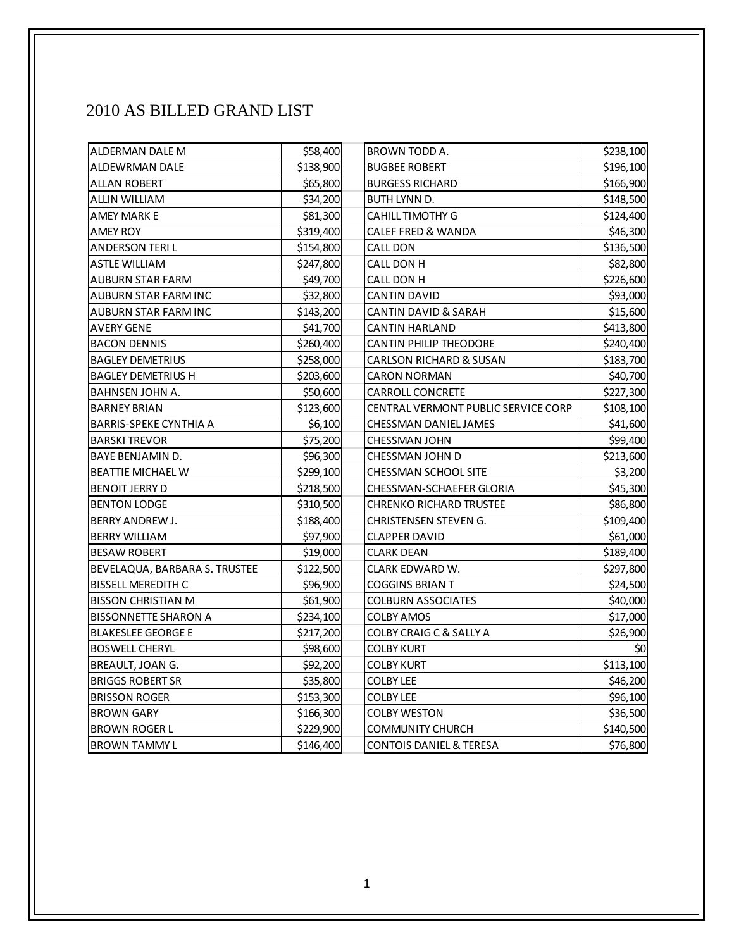## 2010 AS BILLED GRAND LIST

| ALDERMAN DALE M               | \$58,400  | BROWN TODD A.                       | \$238,100 |
|-------------------------------|-----------|-------------------------------------|-----------|
| ALDEWRMAN DALE                | \$138,900 | <b>BUGBEE ROBERT</b>                | \$196,100 |
| ALLAN ROBERT                  | \$65,800  | <b>BURGESS RICHARD</b>              | \$166,900 |
| <b>ALLIN WILLIAM</b>          | \$34,200  | <b>BUTH LYNN D.</b>                 | \$148,500 |
| AMEY MARK E                   | \$81,300  | CAHILL TIMOTHY G                    | \$124,400 |
| AMEY ROY                      | \$319,400 | <b>CALEF FRED &amp; WANDA</b>       | \$46,300  |
| ANDERSON TERI L               | \$154,800 | <b>CALL DON</b>                     | \$136,500 |
| <b>ASTLE WILLIAM</b>          | \$247,800 | CALL DON H                          | \$82,800  |
| <b>AUBURN STAR FARM</b>       | \$49,700  | CALL DON H                          | \$226,600 |
| AUBURN STAR FARM INC          | \$32,800  | <b>CANTIN DAVID</b>                 | \$93,000  |
| AUBURN STAR FARM INC          | \$143,200 | CANTIN DAVID & SARAH                | \$15,600  |
| <b>AVERY GENE</b>             | \$41,700  | <b>CANTIN HARLAND</b>               | \$413,800 |
| <b>BACON DENNIS</b>           | \$260,400 | <b>CANTIN PHILIP THEODORE</b>       | \$240,400 |
| <b>BAGLEY DEMETRIUS</b>       | \$258,000 | <b>CARLSON RICHARD &amp; SUSAN</b>  | \$183,700 |
| <b>BAGLEY DEMETRIUS H</b>     | \$203,600 | <b>CARON NORMAN</b>                 | \$40,700  |
| <b>BAHNSEN JOHN A.</b>        | \$50,600  | <b>CARROLL CONCRETE</b>             | \$227,300 |
| <b>BARNEY BRIAN</b>           | \$123,600 | CENTRAL VERMONT PUBLIC SERVICE CORP | \$108,100 |
| <b>BARRIS-SPEKE CYNTHIA A</b> | \$6,100   | CHESSMAN DANIEL JAMES               | \$41,600  |
| <b>BARSKI TREVOR</b>          | \$75,200  | <b>CHESSMAN JOHN</b>                | \$99,400  |
| BAYE BENJAMIN D.              | \$96,300  | CHESSMAN JOHN D                     | \$213,600 |
| <b>BEATTIE MICHAEL W</b>      | \$299,100 | CHESSMAN SCHOOL SITE                | \$3,200   |
| <b>BENOIT JERRY D</b>         | \$218,500 | CHESSMAN-SCHAEFER GLORIA            | \$45,300  |
| <b>BENTON LODGE</b>           | \$310,500 | <b>CHRENKO RICHARD TRUSTEE</b>      | \$86,800  |
| BERRY ANDREW J.               | \$188,400 | CHRISTENSEN STEVEN G.               | \$109,400 |
| <b>BERRY WILLIAM</b>          | \$97,900  | <b>CLAPPER DAVID</b>                | \$61,000  |
| <b>BESAW ROBERT</b>           | \$19,000  | <b>CLARK DEAN</b>                   | \$189,400 |
| BEVELAQUA, BARBARA S. TRUSTEE | \$122,500 | CLARK EDWARD W.                     | \$297,800 |
| <b>BISSELL MEREDITH C</b>     | \$96,900  | <b>COGGINS BRIAN T</b>              | \$24,500  |
| <b>BISSON CHRISTIAN M</b>     | \$61,900  | <b>COLBURN ASSOCIATES</b>           | \$40,000  |
| <b>BISSONNETTE SHARON A</b>   | \$234,100 | <b>COLBY AMOS</b>                   | \$17,000  |
| <b>BLAKESLEE GEORGE E</b>     | \$217,200 | <b>COLBY CRAIG C &amp; SALLY A</b>  | \$26,900  |
| <b>BOSWELL CHERYL</b>         | \$98,600  | <b>COLBY KURT</b>                   | \$0       |
| BREAULT, JOAN G.              | \$92,200  | <b>COLBY KURT</b>                   | \$113,100 |
| <b>BRIGGS ROBERT SR</b>       | \$35,800  | <b>COLBY LEE</b>                    | \$46,200  |
| <b>BRISSON ROGER</b>          | \$153,300 | <b>COLBY LEE</b>                    | \$96,100  |
| <b>BROWN GARY</b>             | \$166,300 | <b>COLBY WESTON</b>                 | \$36,500  |
| <b>BROWN ROGER L</b>          | \$229,900 | <b>COMMUNITY CHURCH</b>             | \$140,500 |
| <b>BROWN TAMMY L</b>          | \$146,400 | <b>CONTOIS DANIEL &amp; TERESA</b>  | \$76,800  |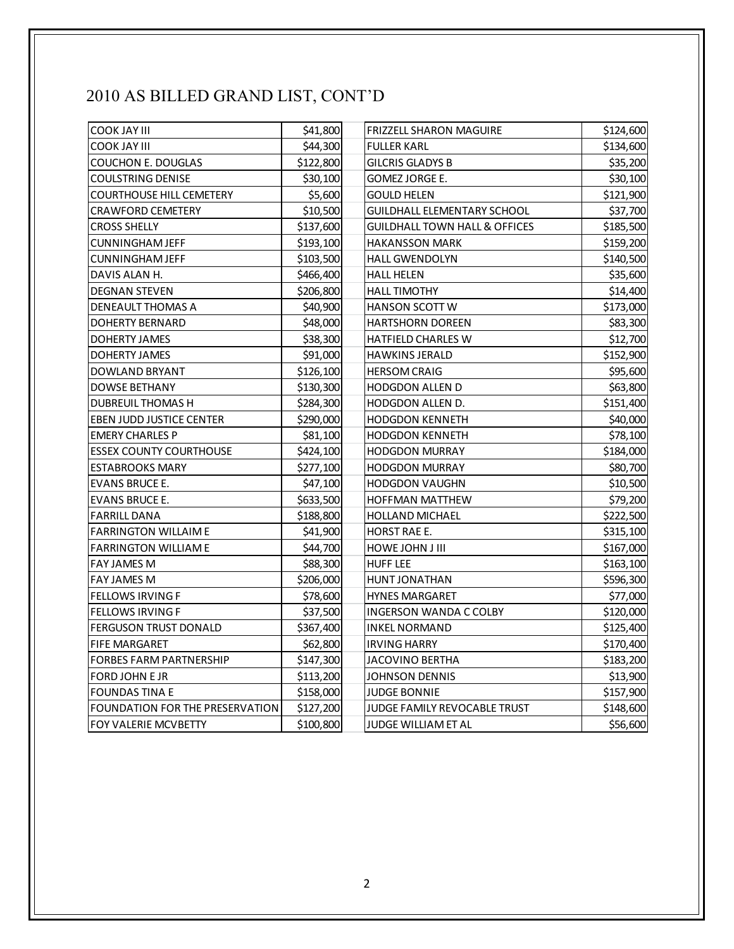## 2010 AS BILLED GRAND LIST, CONT'D

| <b>COOK JAY III</b>             | \$41,800  | <b>FRIZZELL SHARON MAGUIRE</b>           | \$124,600 |
|---------------------------------|-----------|------------------------------------------|-----------|
| <b>COOK JAY III</b>             | \$44,300  | <b>FULLER KARL</b>                       | \$134,600 |
| <b>COUCHON E. DOUGLAS</b>       | \$122,800 | <b>GILCRIS GLADYS B</b>                  | \$35,200  |
| <b>COULSTRING DENISE</b>        | \$30,100  | <b>GOMEZ JORGE E.</b>                    | \$30,100  |
| <b>COURTHOUSE HILL CEMETERY</b> | \$5,600   | <b>GOULD HELEN</b>                       | \$121,900 |
| <b>CRAWFORD CEMETERY</b>        | \$10,500  | <b>GUILDHALL ELEMENTARY SCHOOL</b>       | \$37,700  |
| <b>CROSS SHELLY</b>             | \$137,600 | <b>GUILDHALL TOWN HALL &amp; OFFICES</b> | \$185,500 |
| CUNNINGHAM JEFF                 | \$193,100 | <b>HAKANSSON MARK</b>                    | \$159,200 |
| <b>CUNNINGHAM JEFF</b>          | \$103,500 | <b>HALL GWENDOLYN</b>                    | \$140,500 |
| DAVIS ALAN H.                   | \$466,400 | <b>HALL HELEN</b>                        | \$35,600  |
| <b>DEGNAN STEVEN</b>            | \$206,800 | <b>HALL TIMOTHY</b>                      | \$14,400  |
| DENEAULT THOMAS A               | \$40,900  | <b>HANSON SCOTT W</b>                    | \$173,000 |
| <b>DOHERTY BERNARD</b>          | \$48,000  | <b>HARTSHORN DOREEN</b>                  | \$83,300  |
| <b>DOHERTY JAMES</b>            | \$38,300  | <b>HATFIELD CHARLES W</b>                | \$12,700  |
| <b>DOHERTY JAMES</b>            | \$91,000  | <b>HAWKINS JERALD</b>                    | \$152,900 |
| DOWLAND BRYANT                  | \$126,100 | <b>HERSOM CRAIG</b>                      | \$95,600  |
| <b>DOWSE BETHANY</b>            | \$130,300 | HODGDON ALLEN D                          | \$63,800  |
| <b>DUBREUIL THOMAS H</b>        | \$284,300 | HODGDON ALLEN D.                         | \$151,400 |
| <b>EBEN JUDD JUSTICE CENTER</b> | \$290,000 | <b>HODGDON KENNETH</b>                   | \$40,000  |
| <b>EMERY CHARLES P</b>          | \$81,100  | <b>HODGDON KENNETH</b>                   | \$78,100  |
| <b>ESSEX COUNTY COURTHOUSE</b>  | \$424,100 | <b>HODGDON MURRAY</b>                    | \$184,000 |
| <b>ESTABROOKS MARY</b>          | \$277,100 | <b>HODGDON MURRAY</b>                    | \$80,700  |
| <b>EVANS BRUCE E.</b>           | \$47,100  | <b>HODGDON VAUGHN</b>                    | \$10,500  |
| <b>EVANS BRUCE E.</b>           | \$633,500 | HOFFMAN MATTHEW                          | \$79,200  |
| <b>FARRILL DANA</b>             | \$188,800 | <b>HOLLAND MICHAEL</b>                   | \$222,500 |
| <b>FARRINGTON WILLAIM E</b>     | \$41,900  | HORST RAE E.                             | \$315,100 |
| <b>FARRINGTON WILLIAM E</b>     | \$44,700  | HOWE JOHN J III                          | \$167,000 |
| FAY JAMES M                     | \$88,300  | <b>HUFF LEE</b>                          | \$163,100 |
| FAY JAMES M                     | \$206,000 | HUNT JONATHAN                            | \$596,300 |
| <b>FELLOWS IRVING F</b>         | \$78,600  | <b>HYNES MARGARET</b>                    | \$77,000  |
| <b>FELLOWS IRVING F</b>         | \$37,500  | <b>INGERSON WANDA C COLBY</b>            | \$120,000 |
| <b>FERGUSON TRUST DONALD</b>    | \$367,400 | <b>INKEL NORMAND</b>                     | \$125,400 |
| <b>FIFE MARGARET</b>            | \$62,800  | <b>IRVING HARRY</b>                      | \$170,400 |
| <b>FORBES FARM PARTNERSHIP</b>  | \$147,300 | <b>JACOVINO BERTHA</b>                   | \$183,200 |
| FORD JOHN E JR                  | \$113,200 | JOHNSON DENNIS                           | \$13,900  |
| <b>FOUNDAS TINA E</b>           | \$158,000 | <b>JUDGE BONNIE</b>                      | \$157,900 |
| FOUNDATION FOR THE PRESERVATION | \$127,200 | <b>JUDGE FAMILY REVOCABLE TRUST</b>      | \$148,600 |
| FOY VALERIE MCVBETTY            | \$100,800 | JUDGE WILLIAM ET AL                      | \$56,600  |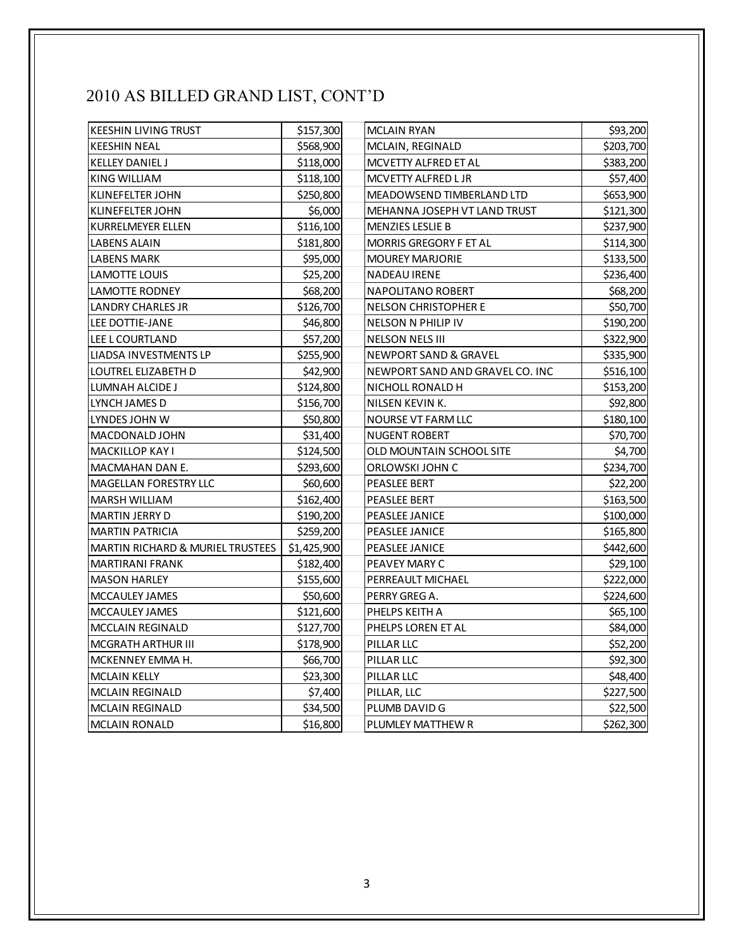## 2010 AS BILLED GRAND LIST, CONT'D

| <b>KEESHIN LIVING TRUST</b>                 | \$157,300   | <b>MCLAIN RYAN</b>               | \$93,200  |
|---------------------------------------------|-------------|----------------------------------|-----------|
| <b>KEESHIN NEAL</b>                         | \$568,900   | MCLAIN, REGINALD                 | \$203,700 |
| <b>KELLEY DANIEL J</b>                      | \$118,000   | MCVETTY ALFRED ET AL             | \$383,200 |
| KING WILLIAM                                | \$118,100   | MCVETTY ALFRED L JR              | \$57,400  |
| <b>KLINEFELTER JOHN</b>                     | \$250,800   | MEADOWSEND TIMBERLAND LTD        | \$653,900 |
| <b>KLINEFELTER JOHN</b>                     | \$6,000     | MEHANNA JOSEPH VT LAND TRUST     | \$121,300 |
| <b>KURRELMEYER ELLEN</b>                    | \$116,100   | <b>MENZIES LESLIE B</b>          | \$237,900 |
| LABENS ALAIN                                | \$181,800   | MORRIS GREGORY F ET AL           | \$114,300 |
| LABENS MARK                                 | \$95,000    | <b>MOUREY MARJORIE</b>           | \$133,500 |
| LAMOTTE LOUIS                               | \$25,200    | NADEAU IRENE                     | \$236,400 |
| <b>LAMOTTE RODNEY</b>                       | \$68,200    | NAPOLITANO ROBERT                | \$68,200  |
| LANDRY CHARLES JR                           | \$126,700   | <b>NELSON CHRISTOPHER E</b>      | \$50,700  |
| LEE DOTTIE-JANE                             | \$46,800    | NELSON N PHILIP IV               | \$190,200 |
| LEE L COURTLAND                             | \$57,200    | <b>NELSON NELS III</b>           | \$322,900 |
| LIADSA INVESTMENTS LP                       | \$255,900   | <b>NEWPORT SAND &amp; GRAVEL</b> | \$335,900 |
| LOUTREL ELIZABETH D                         | \$42,900    | NEWPORT SAND AND GRAVEL CO. INC  | \$516,100 |
| LUMNAH ALCIDE J                             | \$124,800   | NICHOLL RONALD H                 | \$153,200 |
| LYNCH JAMES D                               | \$156,700   | NILSEN KEVIN K.                  | \$92,800  |
| LYNDES JOHN W                               | \$50,800    | NOURSE VT FARM LLC               | \$180,100 |
| MACDONALD JOHN                              | \$31,400    | <b>NUGENT ROBERT</b>             | \$70,700  |
| <b>MACKILLOP KAY I</b>                      | \$124,500   | OLD MOUNTAIN SCHOOL SITE         | \$4,700   |
| MACMAHAN DAN E.                             | \$293,600   | ORLOWSKI JOHN C                  | \$234,700 |
| MAGELLAN FORESTRY LLC                       | \$60,600    | PEASLEE BERT                     | \$22,200  |
| MARSH WILLIAM                               | \$162,400   | <b>PEASLEE BERT</b>              | \$163,500 |
| MARTIN JERRY D                              | \$190,200   | PEASLEE JANICE                   | \$100,000 |
| <b>MARTIN PATRICIA</b>                      | \$259,200   | PEASLEE JANICE                   | \$165,800 |
| <b>MARTIN RICHARD &amp; MURIEL TRUSTEES</b> | \$1,425,900 | PEASLEE JANICE                   | \$442,600 |
| <b>MARTIRANI FRANK</b>                      | \$182,400   | PEAVEY MARY C                    | \$29,100  |
| <b>MASON HARLEY</b>                         | \$155,600   | PERREAULT MICHAEL                | \$222,000 |
| MCCAULEY JAMES                              | \$50,600    | PERRY GREG A.                    | \$224,600 |
| MCCAULEY JAMES                              | \$121,600   | PHELPS KEITH A                   | \$65,100  |
| <b>MCCLAIN REGINALD</b>                     | \$127,700   | PHELPS LOREN ET AL               | \$84,000  |
| <b>MCGRATH ARTHUR III</b>                   | \$178,900   | PILLAR LLC                       | \$52,200  |
| MCKENNEY EMMA H.                            | \$66,700    | PILLAR LLC                       | \$92,300  |
| <b>MCLAIN KELLY</b>                         | \$23,300    | PILLAR LLC                       | \$48,400  |
| <b>MCLAIN REGINALD</b>                      | \$7,400     | PILLAR, LLC                      | \$227,500 |
| <b>MCLAIN REGINALD</b>                      | \$34,500    | PLUMB DAVID G                    | \$22,500  |
| <b>MCLAIN RONALD</b>                        | \$16,800    | PLUMLEY MATTHEW R                | \$262,300 |